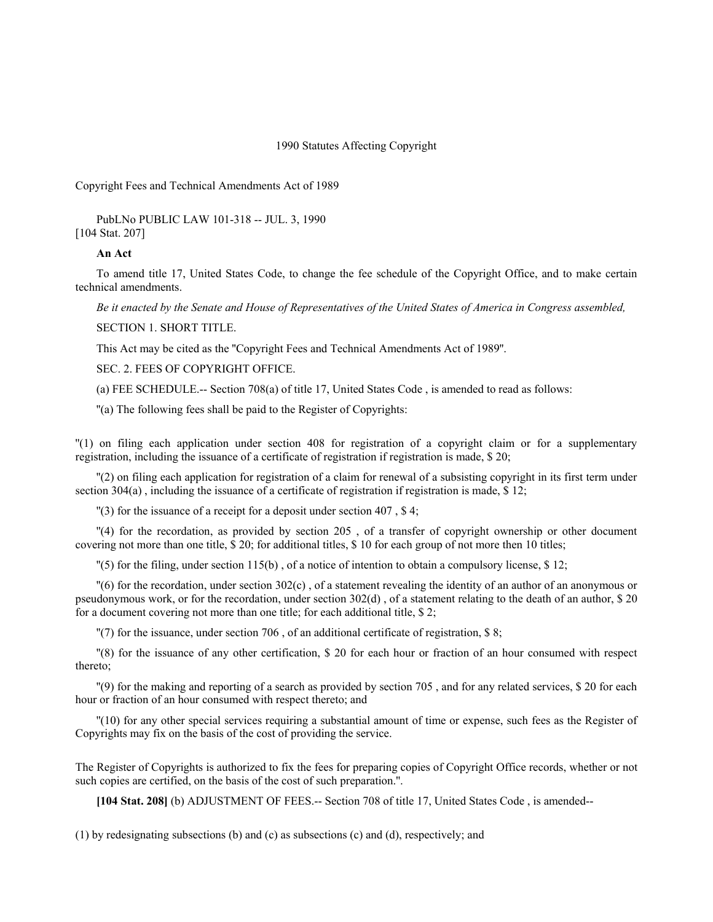1990 Statutes Affecting Copyright

Copyright Fees and Technical Amendments Act of 1989

PubLNo PUBLIC LAW 101-318 -- JUL. 3, 1990 [104 Stat. 207]

## **An Act**

To amend title 17, United States Code, to change the fee schedule of the Copyright Office, and to make certain technical amendments.

*Be it enacted by the Senate and House of Representatives of the United States of America in Congress assembled,* SECTION 1. SHORT TITLE.

This Act may be cited as the ''Copyright Fees and Technical Amendments Act of 1989''.

SEC. 2. FEES OF COPYRIGHT OFFICE.

(a) FEE SCHEDULE.-- Section 708(a) of title 17, United States Code , is amended to read as follows:

''(a) The following fees shall be paid to the Register of Copyrights:

''(1) on filing each application under section 408 for registration of a copyright claim or for a supplementary registration, including the issuance of a certificate of registration if registration is made, \$ 20;

''(2) on filing each application for registration of a claim for renewal of a subsisting copyright in its first term under section 304(a), including the issuance of a certificate of registration if registration is made, \$12;

''(3) for the issuance of a receipt for a deposit under section 407 , \$ 4;

''(4) for the recordation, as provided by section 205 , of a transfer of copyright ownership or other document covering not more than one title, \$ 20; for additional titles, \$ 10 for each group of not more then 10 titles;

''(5) for the filing, under section 115(b) , of a notice of intention to obtain a compulsory license, \$ 12;

''(6) for the recordation, under section 302(c) , of a statement revealing the identity of an author of an anonymous or pseudonymous work, or for the recordation, under section  $302(d)$ , of a statement relating to the death of an author, \$20 for a document covering not more than one title; for each additional title, \$ 2;

"(7) for the issuance, under section 706, of an additional certificate of registration, \$8;

''(8) for the issuance of any other certification, \$ 20 for each hour or fraction of an hour consumed with respect thereto;

''(9) for the making and reporting of a search as provided by section 705 , and for any related services, \$ 20 for each hour or fraction of an hour consumed with respect thereto; and

''(10) for any other special services requiring a substantial amount of time or expense, such fees as the Register of Copyrights may fix on the basis of the cost of providing the service.

The Register of Copyrights is authorized to fix the fees for preparing copies of Copyright Office records, whether or not such copies are certified, on the basis of the cost of such preparation.''.

**[104 Stat. 208]** (b) ADJUSTMENT OF FEES.-- Section 708 of title 17, United States Code , is amended--

(1) by redesignating subsections (b) and (c) as subsections (c) and (d), respectively; and